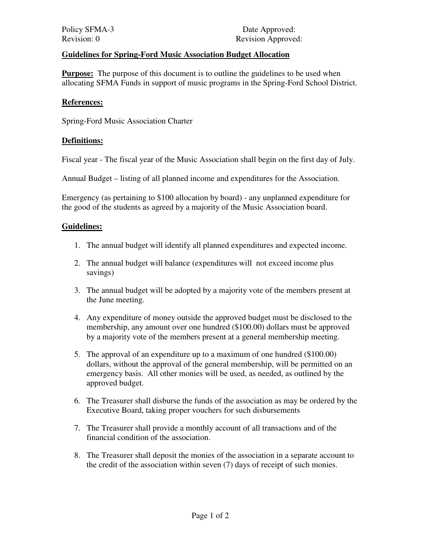# **Guidelines for Spring-Ford Music Association Budget Allocation**

**Purpose:** The purpose of this document is to outline the guidelines to be used when allocating SFMA Funds in support of music programs in the Spring-Ford School District.

### **References:**

Spring-Ford Music Association Charter

### **Definitions:**

Fiscal year - The fiscal year of the Music Association shall begin on the first day of July.

Annual Budget – listing of all planned income and expenditures for the Association.

Emergency (as pertaining to \$100 allocation by board) - any unplanned expenditure for the good of the students as agreed by a majority of the Music Association board.

### **Guidelines:**

- 1. The annual budget will identify all planned expenditures and expected income.
- 2. The annual budget will balance (expenditures will not exceed income plus savings)
- 3. The annual budget will be adopted by a majority vote of the members present at the June meeting.
- 4. Any expenditure of money outside the approved budget must be disclosed to the membership, any amount over one hundred (\$100.00) dollars must be approved by a majority vote of the members present at a general membership meeting.
- 5. The approval of an expenditure up to a maximum of one hundred (\$100.00) dollars, without the approval of the general membership, will be permitted on an emergency basis. All other monies will be used, as needed, as outlined by the approved budget.
- 6. The Treasurer shall disburse the funds of the association as may be ordered by the Executive Board, taking proper vouchers for such disbursements
- 7. The Treasurer shall provide a monthly account of all transactions and of the financial condition of the association.
- 8. The Treasurer shall deposit the monies of the association in a separate account to the credit of the association within seven (7) days of receipt of such monies.